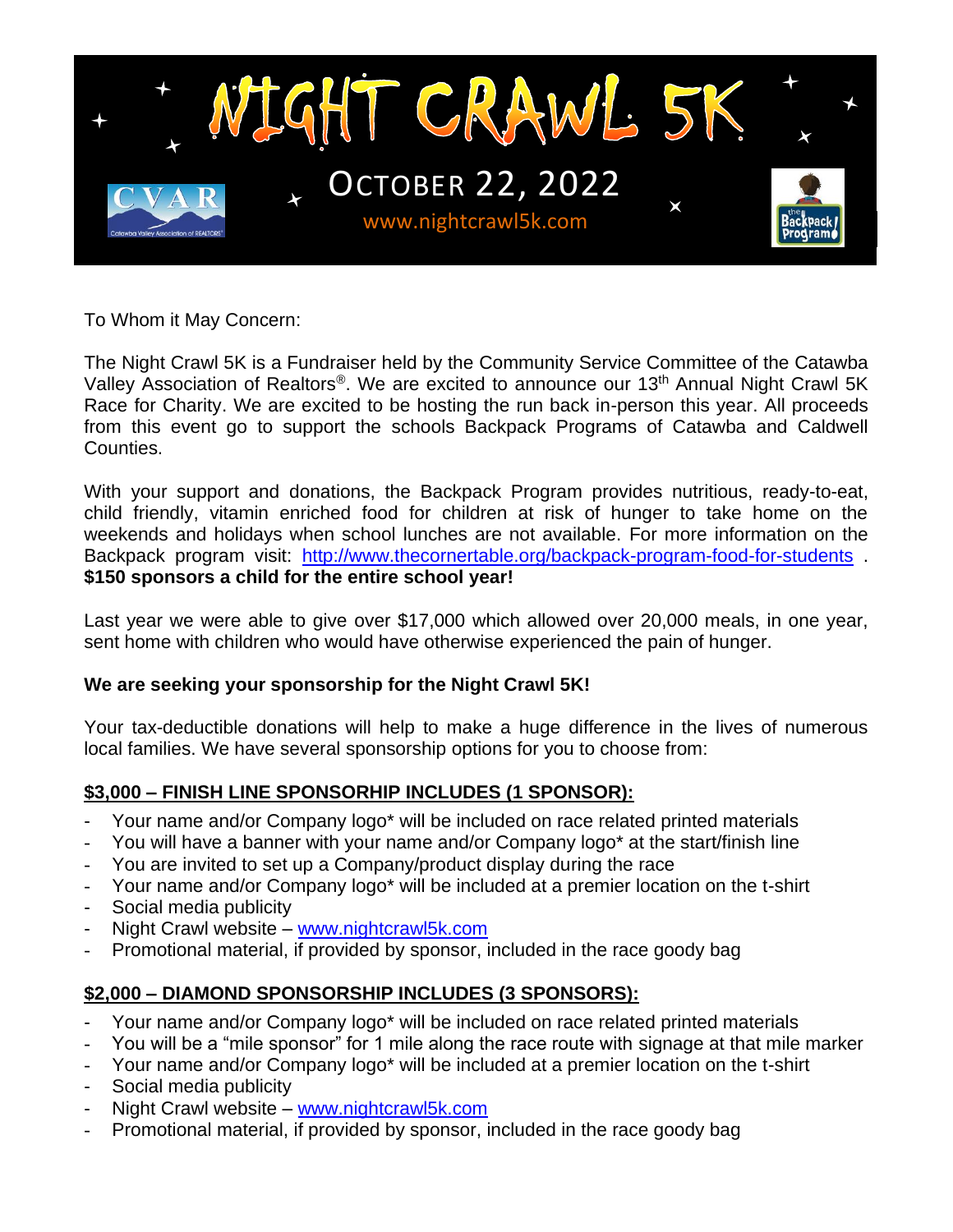

To Whom it May Concern:

The Night Crawl 5K is a Fundraiser held by the Community Service Committee of the Catawba Valley Association of Realtors®. We are excited to announce our 13<sup>th</sup> Annual Night Crawl 5K Race for Charity. We are excited to be hosting the run back in-person this year. All proceeds from this event go to support the schools Backpack Programs of Catawba and Caldwell Counties.

With your support and donations, the Backpack Program provides nutritious, ready-to-eat, child friendly, vitamin enriched food for children at risk of hunger to take home on the weekends and holidays when school lunches are not available. For more information on the Backpack program visit: <http://www.thecornertable.org/backpack-program-food-for-students>. **\$150 sponsors a child for the entire school year!**

Last year we were able to give over \$17,000 which allowed over 20,000 meals, in one year, sent home with children who would have otherwise experienced the pain of hunger.

#### **We are seeking your sponsorship for the Night Crawl 5K!**

Your tax-deductible donations will help to make a huge difference in the lives of numerous local families. We have several sponsorship options for you to choose from:

#### **\$3,000 – FINISH LINE SPONSORHIP INCLUDES (1 SPONSOR):**

- Your name and/or Company logo\* will be included on race related printed materials
- You will have a banner with your name and/or Company logo\* at the start/finish line
- You are invited to set up a Company/product display during the race
- Your name and/or Company logo\* will be included at a premier location on the t-shirt
- Social media publicity
- Night Crawl website [www.nightcrawl5k.com](http://www.nightcrawl5k.com/)
- Promotional material, if provided by sponsor, included in the race goody bag

# **\$2,000 – DIAMOND SPONSORSHIP INCLUDES (3 SPONSORS):**

- Your name and/or Company logo\* will be included on race related printed materials
- You will be a "mile sponsor" for 1 mile along the race route with signage at that mile marker
- Your name and/or Company logo\* will be included at a premier location on the t-shirt
- Social media publicity
- Night Crawl website [www.nightcrawl5k.com](http://www.nightcrawl5k.com/)
- Promotional material, if provided by sponsor, included in the race goody bag